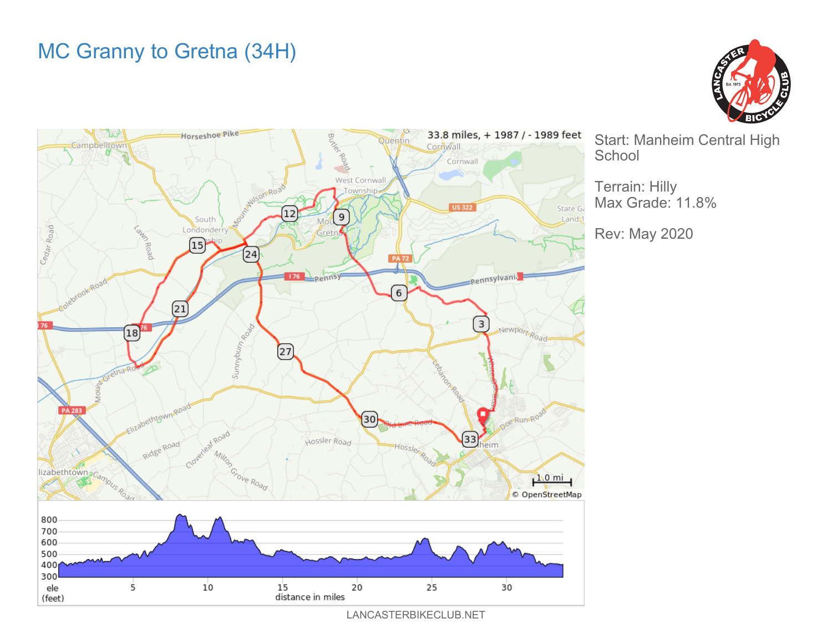## MC Granny to Gretna (34H)





Start: Manheim Central High

Terrain: Hilly Max Grade: 11.8%

Rev: May 2020